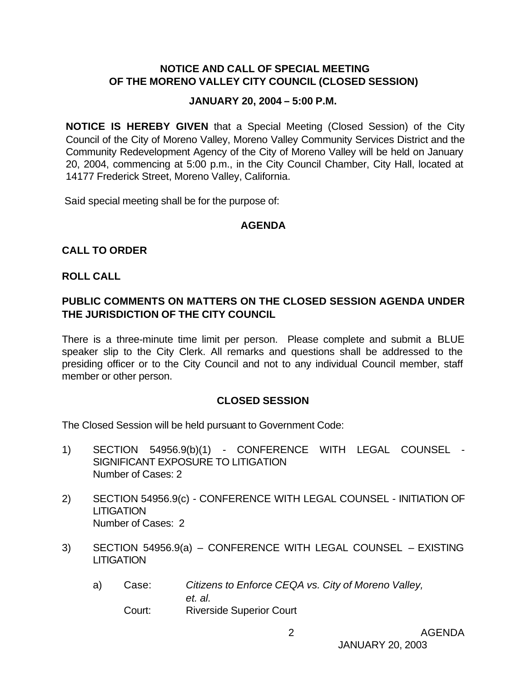# **NOTICE AND CALL OF SPECIAL MEETING OF THE MORENO VALLEY CITY COUNCIL (CLOSED SESSION)**

#### **JANUARY 20, 2004 – 5:00 P.M.**

**NOTICE IS HEREBY GIVEN** that a Special Meeting (Closed Session) of the City Council of the City of Moreno Valley, Moreno Valley Community Services District and the Community Redevelopment Agency of the City of Moreno Valley will be held on January 20, 2004, commencing at 5:00 p.m., in the City Council Chamber, City Hall, located at 14177 Frederick Street, Moreno Valley, California.

Said special meeting shall be for the purpose of:

#### **AGENDA**

# **CALL TO ORDER**

#### **ROLL CALL**

# **PUBLIC COMMENTS ON MATTERS ON THE CLOSED SESSION AGENDA UNDER THE JURISDICTION OF THE CITY COUNCIL**

There is a three-minute time limit per person. Please complete and submit a BLUE speaker slip to the City Clerk. All remarks and questions shall be addressed to the presiding officer or to the City Council and not to any individual Council member, staff member or other person.

#### **CLOSED SESSION**

The Closed Session will be held pursuant to Government Code:

- 1) SECTION 54956.9(b)(1) CONFERENCE WITH LEGAL COUNSEL SIGNIFICANT EXPOSURE TO LITIGATION Number of Cases: 2
- 2) SECTION 54956.9(c) CONFERENCE WITH LEGAL COUNSEL INITIATION OF **LITIGATION** Number of Cases: 2
- 3) SECTION 54956.9(a) CONFERENCE WITH LEGAL COUNSEL EXISTING **LITIGATION** 
	- a) Case: *Citizens to Enforce CEQA vs. City of Moreno Valley, et. al.* Court: Riverside Superior Court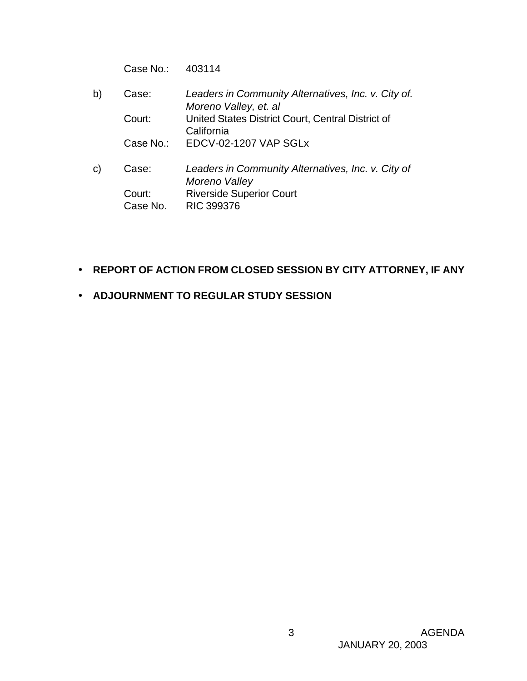Case No.: 403114

- b) Case: *Leaders in Community Alternatives, Inc. v. City of. Moreno Valley, et. al* Court: United States District Court, Central District of **California** Case No.: EDCV-02-1207 VAP SGLx
- c) Case: *Leaders in Community Alternatives, Inc. v. City of Moreno Valley* Court: Riverside Superior Court Case No. RIC 399376
- **REPORT OF ACTION FROM CLOSED SESSION BY CITY ATTORNEY, IF ANY**
- **ADJOURNMENT TO REGULAR STUDY SESSION**